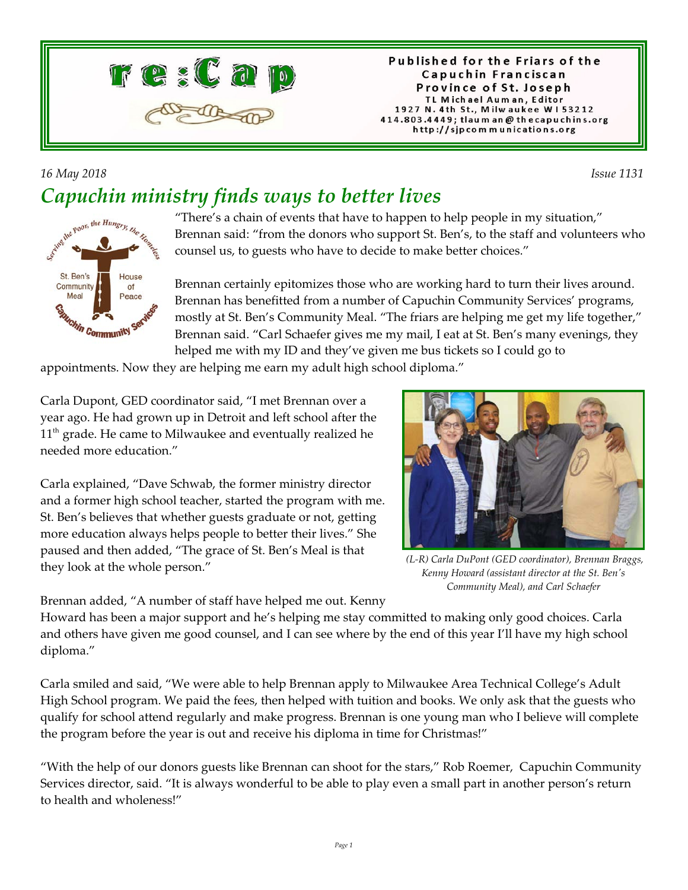

Published for the Friars of the Capuchin Franciscan Province of St. Joseph TL Michael Auman, Editor 1927 N. 4th St., Milwaukee W153212 414.803.4449; tlaum an@thecapuchins.org http://sjpcommunications.org

## *16 May 2018 Issue 1131 Capuchin ministry finds ways to better lives*

the Poor, the Hungry St. Ben's House Community  $\Omega$ Meal Peace chin Community

"There's a chain of events that have to happen to help people in my situation," Brennan said: "from the donors who support St. Ben's, to the staff and volunteers who counsel us, to guests who have to decide to make better choices."

Brennan certainly epitomizes those who are working hard to turn their lives around. Brennan has benefitted from a number of Capuchin Community Services' programs, mostly at St. Ben's Community Meal. "The friars are helping me get my life together," Brennan said. "Carl Schaefer gives me my mail, I eat at St. Ben's many evenings, they helped me with my ID and they've given me bus tickets so I could go to

appointments. Now they are helping me earn my adult high school diploma."

Carla Dupont, GED coordinator said, "I met Brennan over a year ago. He had grown up in Detroit and left school after the  $11<sup>th</sup>$  grade. He came to Milwaukee and eventually realized he needed more education."

Carla explained, "Dave Schwab, the former ministry director and a former high school teacher, started the program with me. St. Ben's believes that whether guests graduate or not, getting more education always helps people to better their lives." She paused and then added, "The grace of St. Ben's Meal is that they look at the whole person."



 *(L-R) Carla DuPont (GED coordinator), Brennan Braggs, Kenny Howard (assistant director at the St. Ben's Community Meal), and Carl Schaefer*

Brennan added, "A number of staff have helped me out. Kenny

Howard has been a major support and he's helping me stay committed to making only good choices. Carla and others have given me good counsel, and I can see where by the end of this year I'll have my high school diploma."

Carla smiled and said, "We were able to help Brennan apply to Milwaukee Area Technical College's Adult High School program. We paid the fees, then helped with tuition and books. We only ask that the guests who qualify for school attend regularly and make progress. Brennan is one young man who I believe will complete the program before the year is out and receive his diploma in time for Christmas!"

"With the help of our donors guests like Brennan can shoot for the stars," Rob Roemer, Capuchin Community Services director, said. "It is always wonderful to be able to play even a small part in another person's return to health and wholeness!"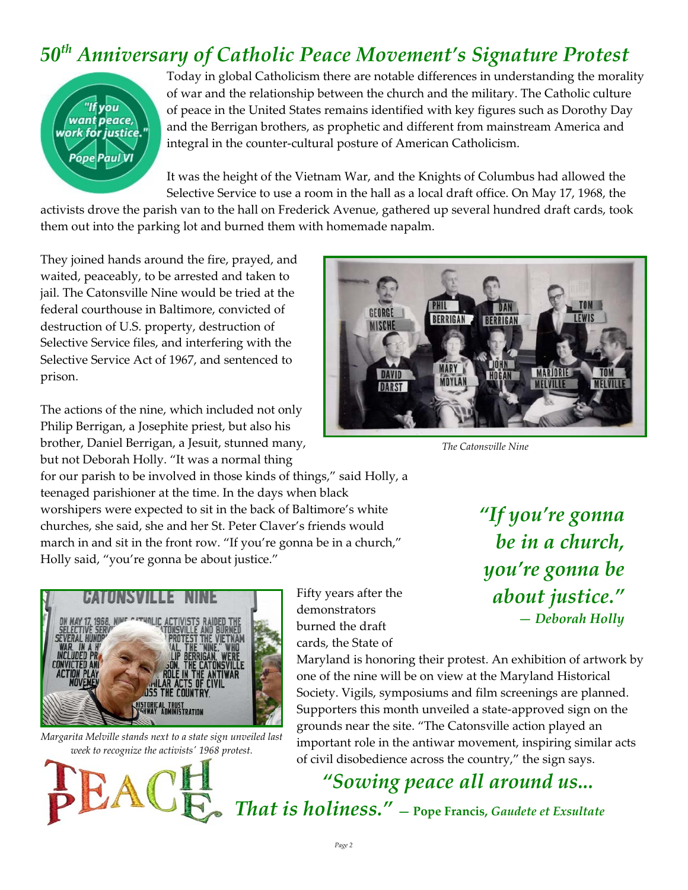## *50th Anniversary of Catholic Peace Movement's Signature Protest*



Today in global Catholicism there are notable differences in understanding the morality of war and the relationship between the church and the military. The Catholic culture of peace in the United States remains identified with key figures such as Dorothy Day and the Berrigan brothers, as prophetic and different from mainstream America and integral in the counter-cultural posture of American Catholicism.

It was the height of the Vietnam War, and the Knights of Columbus had allowed the Selective Service to use a room in the hall as a local draft office. On May 17, 1968, the

activists drove the parish van to the hall on Frederick Avenue, gathered up several hundred draft cards, took them out into the parking lot and burned them with homemade napalm.

They joined hands around the fire, prayed, and waited, peaceably, to be arrested and taken to jail. The Catonsville Nine would be tried at the federal courthouse in Baltimore, convicted of destruction of U.S. property, destruction of Selective Service files, and interfering with the Selective Service Act of 1967, and sentenced to prison.

The actions of the nine, which included not only Philip Berrigan, a Josephite priest, but also his brother, Daniel Berrigan, a Jesuit, stunned many, but not Deborah Holly. "It was a normal thing

for our parish to be involved in those kinds of things," said Holly, a teenaged parishioner at the time. In the days when black worshipers were expected to sit in the back of Baltimore's white churches, she said, she and her St. Peter Claver's friends would march in and sit in the front row. "If you're gonna be in a church," Holly said, "you're gonna be about justice."



*Margarita Melville stands next to a state sign unveiled last week to recognize the activists' 1968 protest.*



Fifty years after the demonstrators burned the draft cards, the State of

*"If you're gonna be in a church, you're gonna be about justice." — Deborah Holly*

Maryland is honoring their protest. An exhibition of artwork by one of the nine will be on view at the Maryland Historical Society. Vigils, symposiums and film screenings are planned. Supporters this month unveiled a state-approved sign on the grounds near the site. "The Catonsville action played an important role in the antiwar movement, inspiring similar acts of civil disobedience across the country," the sign says.

 *"Sowing peace all around us... That is holiness."* **— Pope Francis,** *Gaudete et Exsultate*



*The Catonsville Nine*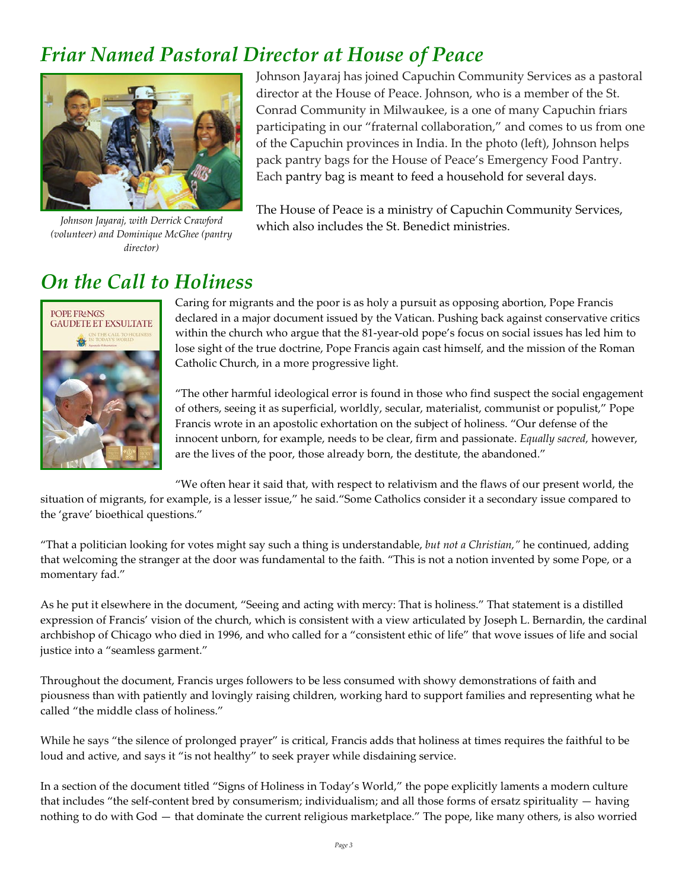## *Friar Named Pastoral Director at House of Peace*



*Johnson Jayaraj, with Derrick Crawford (volunteer) and Dominique McGhee (pantry director)*

Johnson Jayaraj has joined Capuchin Community Services as a pastoral director at the House of Peace. Johnson, who is a member of the St. Conrad Community in Milwaukee, is a one of many Capuchin friars participating in our "fraternal collaboration," and comes to us from one of the Capuchin provinces in India. In the photo (left), Johnson helps pack pantry bags for the House of Peace's Emergency Food Pantry. Each pantry bag is meant to feed a household for several days.

The House of Peace is a ministry of Capuchin Community Services, which also includes the St. Benedict ministries.

## *On the Call to Holiness*



Caring for migrants and the poor is as holy a pursuit as opposing abortion, Pope Francis declared in a major document issued by the Vatican. Pushing back against conservative critics within the church who argue that the 81-year-old pope's focus on social issues has led him to lose sight of the true doctrine, Pope Francis again cast himself, and the mission of the Roman Catholic Church, in a more progressive light.

"The other harmful ideological error is found in those who find suspect the social engagement of others, seeing it as superficial, worldly, secular, materialist, communist or populist," Pope Francis wrote in an apostolic exhortation on the subject of holiness. "Our defense of the innocent unborn, for example, needs to be clear, firm and passionate. *Equally sacred,* however, are the lives of the poor, those already born, the destitute, the abandoned."

"We often hear it said that, with respect to relativism and the flaws of our present world, the

situation of migrants, for example, is a lesser issue," he said."Some Catholics consider it a secondary issue compared to the 'grave' bioethical questions."

"That a politician looking for votes might say such a thing is understandable, *but not a Christian,"* he continued, adding that welcoming the stranger at the door was fundamental to the faith. "This is not a notion invented by some Pope, or a momentary fad."

As he put it elsewhere in the document, "Seeing and acting with mercy: That is holiness." That statement is a distilled expression of Francis' vision of the church, which is consistent with a view articulated by Joseph L. Bernardin, the cardinal archbishop of Chicago who died in 1996, and who called for a "consistent ethic of life" that wove issues of life and social justice into a "seamless garment."

Throughout the document, Francis urges followers to be less consumed with showy demonstrations of faith and piousness than with patiently and lovingly raising children, working hard to support families and representing what he called "the middle class of holiness."

While he says "the silence of prolonged prayer" is critical, Francis adds that holiness at times requires the faithful to be loud and active, and says it "is not healthy" to seek prayer while disdaining service.

In a section of the document titled "Signs of Holiness in Today's World," the pope explicitly laments a modern culture that includes "the self-content bred by consumerism; individualism; and all those forms of ersatz spirituality — having nothing to do with God — that dominate the current religious marketplace." The pope, like many others, is also worried